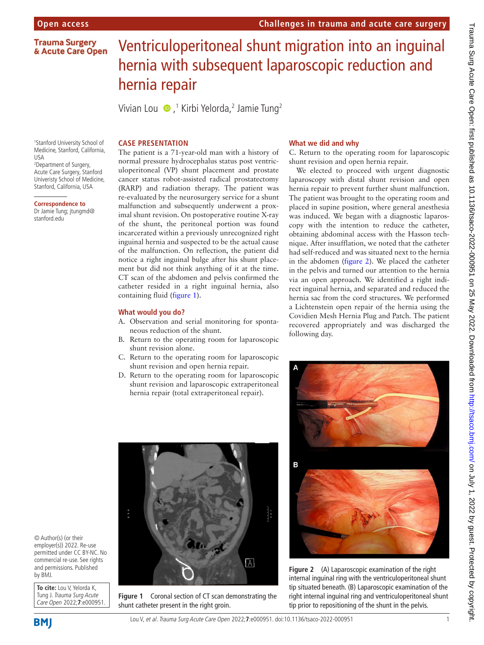**Trauma Surgery** & Acute Care Open

# Ventriculoperitoneal shunt migration into an inguinal hernia with subsequent laparoscopic reduction and hernia repair

Vivian Lou (D,<sup>1</sup> Kirbi Yelorda,<sup>2</sup> Jamie Tung<sup>2</sup>

### **CASE PRESENTATION**

1 Stanford University School of Medicine, Stanford, California, USA

2 Department of Surgery, Acute Care Surgery, Stanford Univeristy School of Medicine, Stanford, California, USA

## **Correspondence to**

Dr Jamie Tung; jtungmd@ stanford.edu

The patient is a 71-year-old man with a history of normal pressure hydrocephalus status post ventriculoperitoneal (VP) shunt placement and prostate cancer status robot-assisted radical prostatectomy (RARP) and radiation therapy. The patient was re-evaluated by the neurosurgery service for a shunt malfunction and subsequently underwent a proximal shunt revision. On postoperative routine X-ray of the shunt, the peritoneal portion was found incarcerated within a previously unrecognized right inguinal hernia and suspected to be the actual cause of the malfunction. On reflection, the patient did notice a right inguinal bulge after his shunt placement but did not think anything of it at the time. CT scan of the abdomen and pelvis confirmed the catheter resided in a right inguinal hernia, also containing fluid [\(figure](#page-0-0) 1).

#### **What would you do?**

- A. Observation and serial monitoring for spontaneous reduction of the shunt.
- B. Return to the operating room for laparoscopic shunt revision alone.
- C. Return to the operating room for laparoscopic shunt revision and open hernia repair.
- D. Return to the operating room for laparoscopic shunt revision and laparoscopic extraperitoneal hernia repair (total extraperitoneal repair).

<span id="page-0-0"></span>**Figure 1** Coronal section of CT scan demonstrating the

shunt catheter present in the right groin.

#### **What we did and why**

C. Return to the operating room for laparoscopic shunt revision and open hernia repair.

We elected to proceed with urgent diagnostic laparoscopy with distal shunt revision and open hernia repair to prevent further shunt malfunction. The patient was brought to the operating room and placed in supine position, where general anesthesia was induced. We began with a diagnostic laparoscopy with the intention to reduce the catheter, obtaining abdominal access with the Hasson technique. After insufflation, we noted that the catheter had self-reduced and was situated next to the hernia in the abdomen ([figure](#page-0-1) 2). We placed the catheter in the pelvis and turned our attention to the hernia via an open approach. We identified a right indirect inguinal hernia, and separated and reduced the hernia sac from the cord structures. We performed a Lichtenstein open repair of the hernia using the Covidien Mesh Hernia Plug and Patch. The patient recovered appropriately and was discharged the following day.



**Figure 2** (A) Laparoscopic examination of the right internal inguinal ring with the ventriculoperitoneal shunt tip situated beneath. (B) Laparoscopic examination of the right internal inguinal ring and ventriculoperitoneal shunt tip prior to repositioning of the shunt in the pelvis.

© Author(s) (or their employer(s)) 2022. Re-use permitted under CC BY-NC. No commercial re-use. See rights and permissions. Published by BMJ.

**To cite:** Lou V, Yelorda K, Tung J. Trauma Surg Acute Care Open 2022;**7**:e000951.

**BMI** 

<span id="page-0-1"></span> $\boxed{\mathsf{A}}$